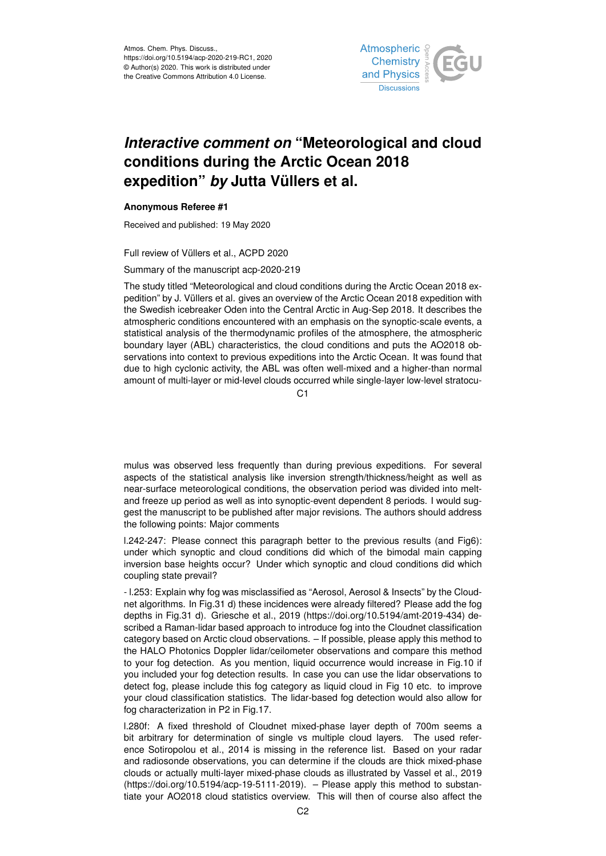

## *Interactive comment on* **"Meteorological and cloud conditions during the Arctic Ocean 2018 expedition"** *by* **Jutta Vüllers et al.**

## **Anonymous Referee #1**

Received and published: 19 May 2020

Full review of Vüllers et al., ACPD 2020

Summary of the manuscript acp-2020-219

The study titled "Meteorological and cloud conditions during the Arctic Ocean 2018 expedition" by J. Vüllers et al. gives an overview of the Arctic Ocean 2018 expedition with the Swedish icebreaker Oden into the Central Arctic in Aug-Sep 2018. It describes the atmospheric conditions encountered with an emphasis on the synoptic-scale events, a statistical analysis of the thermodynamic profiles of the atmosphere, the atmospheric boundary layer (ABL) characteristics, the cloud conditions and puts the AO2018 observations into context to previous expeditions into the Arctic Ocean. It was found that due to high cyclonic activity, the ABL was often well-mixed and a higher-than normal amount of multi-layer or mid-level clouds occurred while single-layer low-level stratocu-

C1

mulus was observed less frequently than during previous expeditions. For several aspects of the statistical analysis like inversion strength/thickness/height as well as near-surface meteorological conditions, the observation period was divided into meltand freeze up period as well as into synoptic-event dependent 8 periods. I would suggest the manuscript to be published after major revisions. The authors should address the following points: Major comments

l.242-247: Please connect this paragraph better to the previous results (and Fig6): under which synoptic and cloud conditions did which of the bimodal main capping inversion base heights occur? Under which synoptic and cloud conditions did which coupling state prevail?

- l.253: Explain why fog was misclassified as "Aerosol, Aerosol & Insects" by the Cloudnet algorithms. In Fig.31 d) these incidences were already filtered? Please add the fog depths in Fig.31 d). Griesche et al., 2019 (https://doi.org/10.5194/amt-2019-434) described a Raman-lidar based approach to introduce fog into the Cloudnet classification category based on Arctic cloud observations. – If possible, please apply this method to the HALO Photonics Doppler lidar/ceilometer observations and compare this method to your fog detection. As you mention, liquid occurrence would increase in Fig.10 if you included your fog detection results. In case you can use the lidar observations to detect fog, please include this fog category as liquid cloud in Fig 10 etc. to improve your cloud classification statistics. The lidar-based fog detection would also allow for fog characterization in P2 in Fig.17.

l.280f: A fixed threshold of Cloudnet mixed-phase layer depth of 700m seems a bit arbitrary for determination of single vs multiple cloud layers. The used reference Sotiropolou et al., 2014 is missing in the reference list. Based on your radar and radiosonde observations, you can determine if the clouds are thick mixed-phase clouds or actually multi-layer mixed-phase clouds as illustrated by Vassel et al., 2019 (https://doi.org/10.5194/acp-19-5111-2019). – Please apply this method to substantiate your AO2018 cloud statistics overview. This will then of course also affect the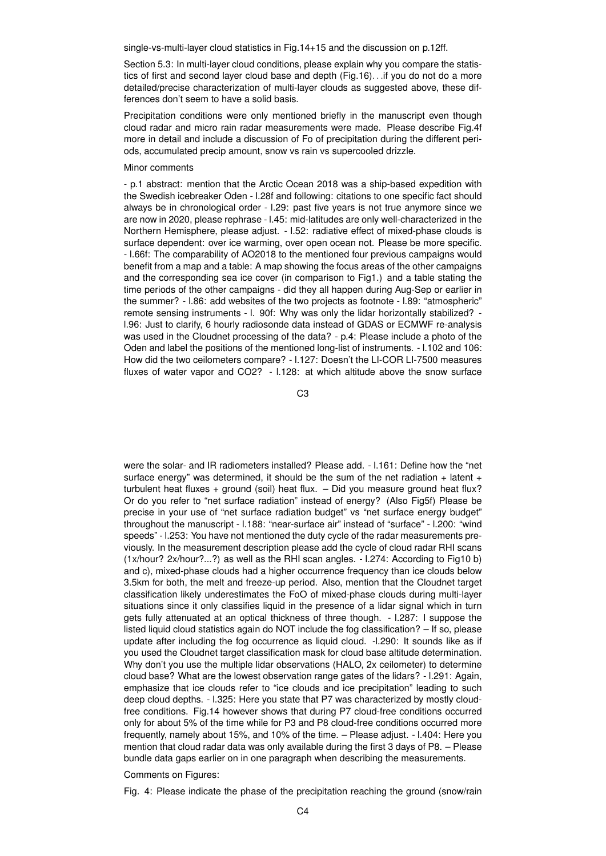single-vs-multi-layer cloud statistics in Fig.14+15 and the discussion on p.12ff.

Section 5.3: In multi-layer cloud conditions, please explain why you compare the statistics of first and second layer cloud base and depth (Fig.16). . .if you do not do a more detailed/precise characterization of multi-layer clouds as suggested above, these differences don't seem to have a solid basis.

Precipitation conditions were only mentioned briefly in the manuscript even though cloud radar and micro rain radar measurements were made. Please describe Fig.4f more in detail and include a discussion of Fo of precipitation during the different periods, accumulated precip amount, snow vs rain vs supercooled drizzle.

## Minor comments

- p.1 abstract: mention that the Arctic Ocean 2018 was a ship-based expedition with the Swedish icebreaker Oden - l.28f and following: citations to one specific fact should always be in chronological order - l.29: past five years is not true anymore since we are now in 2020, please rephrase - l.45: mid-latitudes are only well-characterized in the Northern Hemisphere, please adjust. - l.52: radiative effect of mixed-phase clouds is surface dependent: over ice warming, over open ocean not. Please be more specific. - l.66f: The comparability of AO2018 to the mentioned four previous campaigns would benefit from a map and a table: A map showing the focus areas of the other campaigns and the corresponding sea ice cover (in comparison to Fig1.) and a table stating the time periods of the other campaigns - did they all happen during Aug-Sep or earlier in the summer? - l.86: add websites of the two projects as footnote - l.89: "atmospheric" remote sensing instruments - l. 90f: Why was only the lidar horizontally stabilized? l.96: Just to clarify, 6 hourly radiosonde data instead of GDAS or ECMWF re-analysis was used in the Cloudnet processing of the data? - p.4: Please include a photo of the Oden and label the positions of the mentioned long-list of instruments. - l.102 and 106: How did the two ceilometers compare? - l.127: Doesn't the LI-COR LI-7500 measures fluxes of water vapor and CO2? - l.128: at which altitude above the snow surface

 $C<sub>3</sub>$ 

were the solar- and IR radiometers installed? Please add. - l.161: Define how the "net surface energy" was determined, it should be the sum of the net radiation  $+$  latent  $+$ turbulent heat fluxes + ground (soil) heat flux. – Did you measure ground heat flux? Or do you refer to "net surface radiation" instead of energy? (Also Fig5f) Please be precise in your use of "net surface radiation budget" vs "net surface energy budget" throughout the manuscript - l.188: "near-surface air" instead of "surface" - l.200: "wind speeds" - l.253: You have not mentioned the duty cycle of the radar measurements previously. In the measurement description please add the cycle of cloud radar RHI scans (1x/hour? 2x/hour?...?) as well as the RHI scan angles. - l.274: According to Fig10 b) and c), mixed-phase clouds had a higher occurrence frequency than ice clouds below 3.5km for both, the melt and freeze-up period. Also, mention that the Cloudnet target classification likely underestimates the FoO of mixed-phase clouds during multi-layer situations since it only classifies liquid in the presence of a lidar signal which in turn gets fully attenuated at an optical thickness of three though. - l.287: I suppose the listed liquid cloud statistics again do NOT include the fog classification? – If so, please update after including the fog occurrence as liquid cloud. -l.290: It sounds like as if you used the Cloudnet target classification mask for cloud base altitude determination. Why don't you use the multiple lidar observations (HALO, 2x ceilometer) to determine cloud base? What are the lowest observation range gates of the lidars? - l.291: Again, emphasize that ice clouds refer to "ice clouds and ice precipitation" leading to such deep cloud depths. - l.325: Here you state that P7 was characterized by mostly cloudfree conditions. Fig.14 however shows that during P7 cloud-free conditions occurred only for about 5% of the time while for P3 and P8 cloud-free conditions occurred more frequently, namely about 15%, and 10% of the time. – Please adjust. - l.404: Here you mention that cloud radar data was only available during the first 3 days of P8. – Please bundle data gaps earlier on in one paragraph when describing the measurements.

## Comments on Figures:

Fig. 4: Please indicate the phase of the precipitation reaching the ground (snow/rain